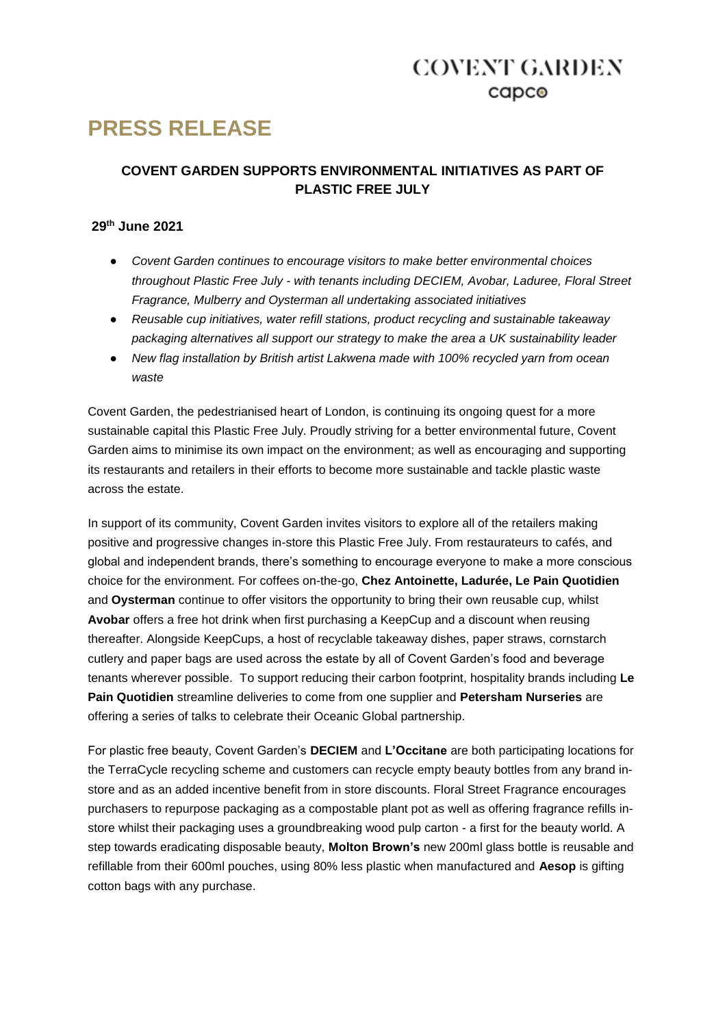### **COVENT GARDEN**  $c$ apc $\odot$

# **PRESS RELEASE**

### **COVENT GARDEN SUPPORTS ENVIRONMENTAL INITIATIVES AS PART OF PLASTIC FREE JULY**

#### **29th June 2021**

- *Covent Garden continues to encourage visitors to make better environmental choices throughout Plastic Free July - with tenants including DECIEM, Avobar, Laduree, Floral Street Fragrance, Mulberry and Oysterman all undertaking associated initiatives*
- *Reusable cup initiatives, water refill stations, product recycling and sustainable takeaway packaging alternatives all support our strategy to make the area a UK sustainability leader*
- *New flag installation by British artist Lakwena made with 100% recycled yarn from ocean waste*

Covent Garden, the pedestrianised heart of London, is continuing its ongoing quest for a more sustainable capital this Plastic Free July. Proudly striving for a better environmental future, Covent Garden aims to minimise its own impact on the environment; as well as encouraging and supporting its restaurants and retailers in their efforts to become more sustainable and tackle plastic waste across the estate.

In support of its community, Covent Garden invites visitors to explore all of the retailers making positive and progressive changes in-store this Plastic Free July. From restaurateurs to cafés, and global and independent brands, there's something to encourage everyone to make a more conscious choice for the environment. For coffees on-the-go, **Chez Antoinette, Ladurée, Le Pain Quotidien**  and **Oysterman** continue to offer visitors the opportunity to bring their own reusable cup, whilst **Avobar** offers a free hot drink when first purchasing a KeepCup and a discount when reusing thereafter. Alongside KeepCups, a host of recyclable takeaway dishes, paper straws, cornstarch cutlery and paper bags are used across the estate by all of Covent Garden's food and beverage tenants wherever possible. To support reducing their carbon footprint, hospitality brands including **Le Pain Quotidien** streamline deliveries to come from one supplier and **Petersham Nurseries** are offering a series of talks to celebrate their Oceanic Global partnership.

For plastic free beauty, Covent Garden's **DECIEM** and **L'Occitane** are both participating locations for the TerraCycle recycling scheme and customers can recycle empty beauty bottles from any brand instore and as an added incentive benefit from in store discounts. Floral Street Fragrance encourages purchasers to repurpose packaging as a compostable plant pot as well as offering fragrance refills instore whilst their packaging uses a groundbreaking wood pulp carton - a first for the beauty world. A step towards eradicating disposable beauty, **Molton Brown's** new 200ml glass bottle is reusable and refillable from their 600ml pouches, using 80% less plastic when manufactured and **Aesop** is gifting cotton bags with any purchase.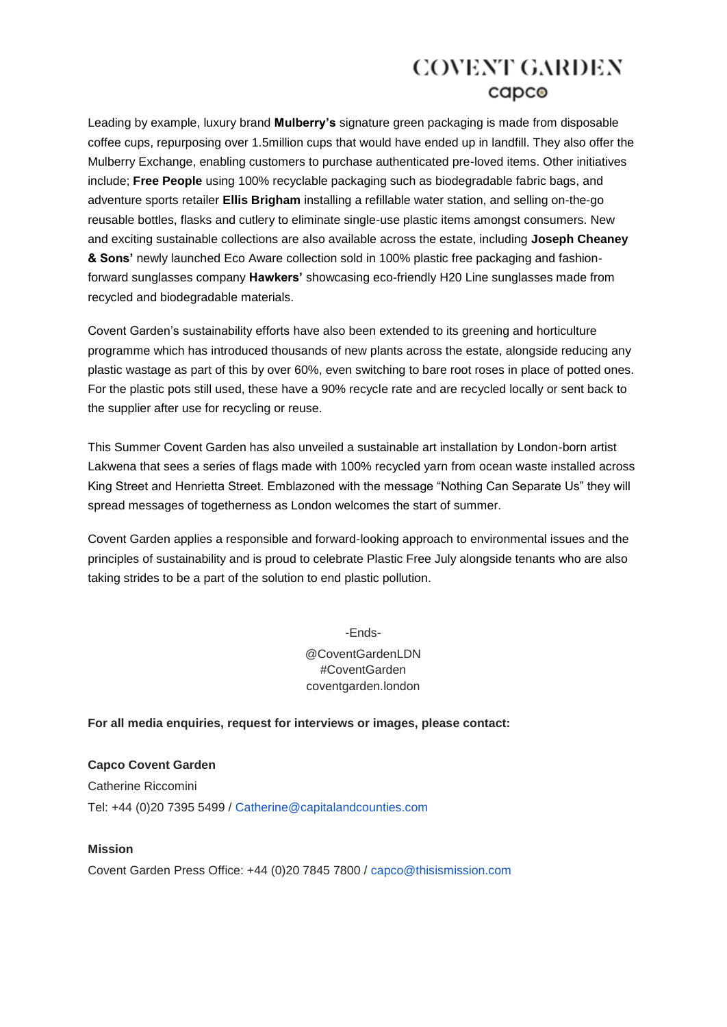### **COVENT GARDEN** capco

Leading by example, luxury brand **Mulberry's** signature green packaging is made from disposable coffee cups, repurposing over 1.5million cups that would have ended up in landfill. They also offer the Mulberry Exchange, enabling customers to purchase authenticated pre-loved items. Other initiatives include; **Free People** using 100% recyclable packaging such as biodegradable fabric bags, and adventure sports retailer **Ellis Brigham** installing a refillable water station, and selling on-the-go reusable bottles, flasks and cutlery to eliminate single-use plastic items amongst consumers. New and exciting sustainable collections are also available across the estate, including **Joseph Cheaney & Sons'** newly launched Eco Aware collection sold in 100% plastic free packaging and fashionforward sunglasses company **Hawkers'** showcasing eco-friendly H20 Line sunglasses made from recycled and biodegradable materials.

Covent Garden's sustainability efforts have also been extended to its greening and horticulture programme which has introduced thousands of new plants across the estate, alongside reducing any plastic wastage as part of this by over 60%, even switching to bare root roses in place of potted ones. For the plastic pots still used, these have a 90% recycle rate and are recycled locally or sent back to the supplier after use for recycling or reuse.

This Summer Covent Garden has also unveiled a sustainable art installation by London-born artist Lakwena that sees a series of flags made with 100% recycled yarn from ocean waste installed across King Street and Henrietta Street. Emblazoned with the message "Nothing Can Separate Us" they will spread messages of togetherness as London welcomes the start of summer.

Covent Garden applies a responsible and forward-looking approach to environmental issues and the principles of sustainability and is proud to celebrate Plastic Free July alongside tenants who are also taking strides to be a part of the solution to end plastic pollution.

> -Ends- @CoventGardenLDN #CoventGarden coventgarden.london

**For all media enquiries, request for interviews or images, please contact:**

**Capco Covent Garden** Catherine Riccomini Tel: +44 (0)20 7395 5499 / Catherine@capitalandcounties.com

#### **Mission**

Covent Garden Press Office: +44 (0)20 7845 7800 / capco@thisismission.com